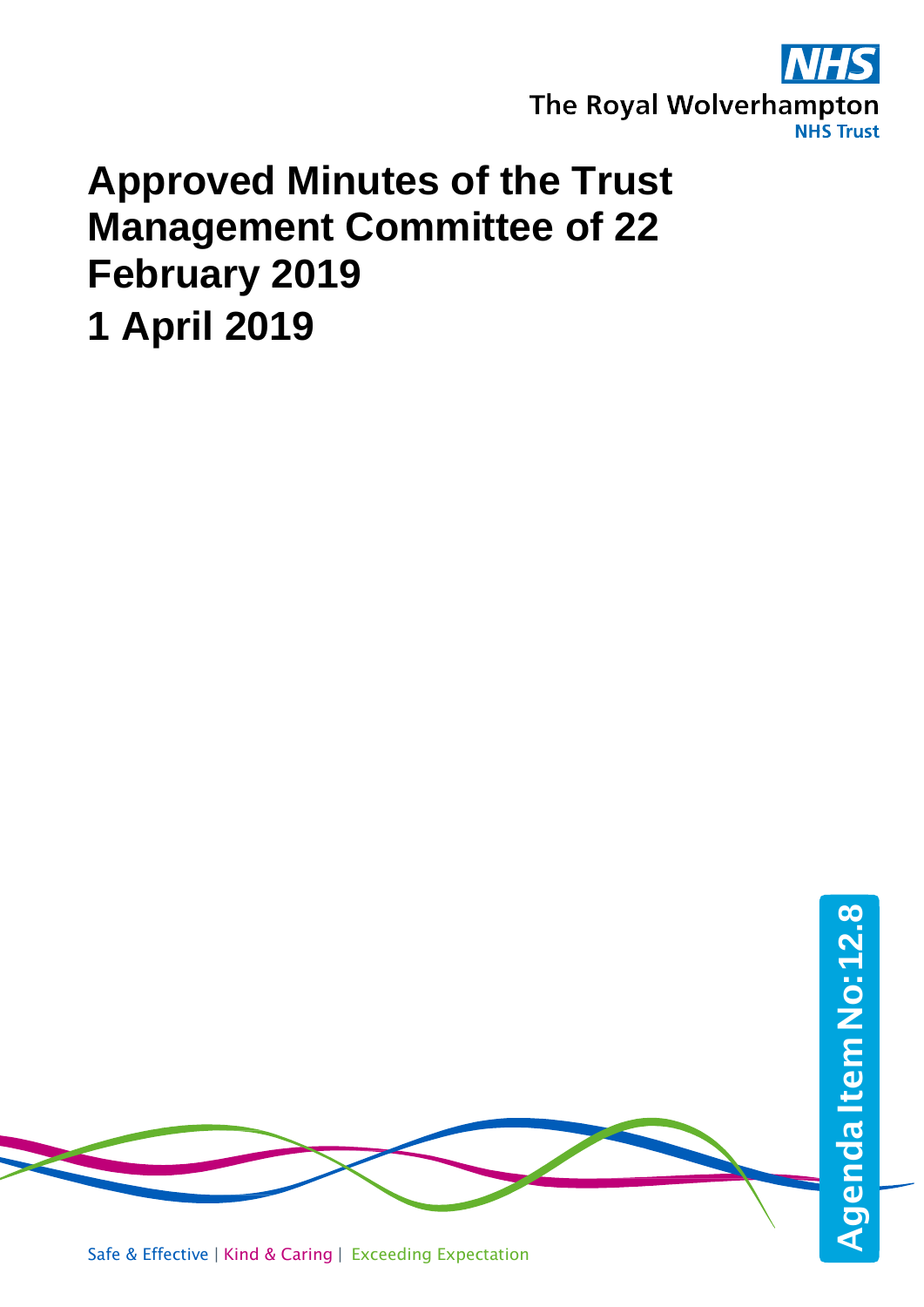

# **Approved Minutes of the Trust Management Committee of 22 February 2019 1 April 2019**

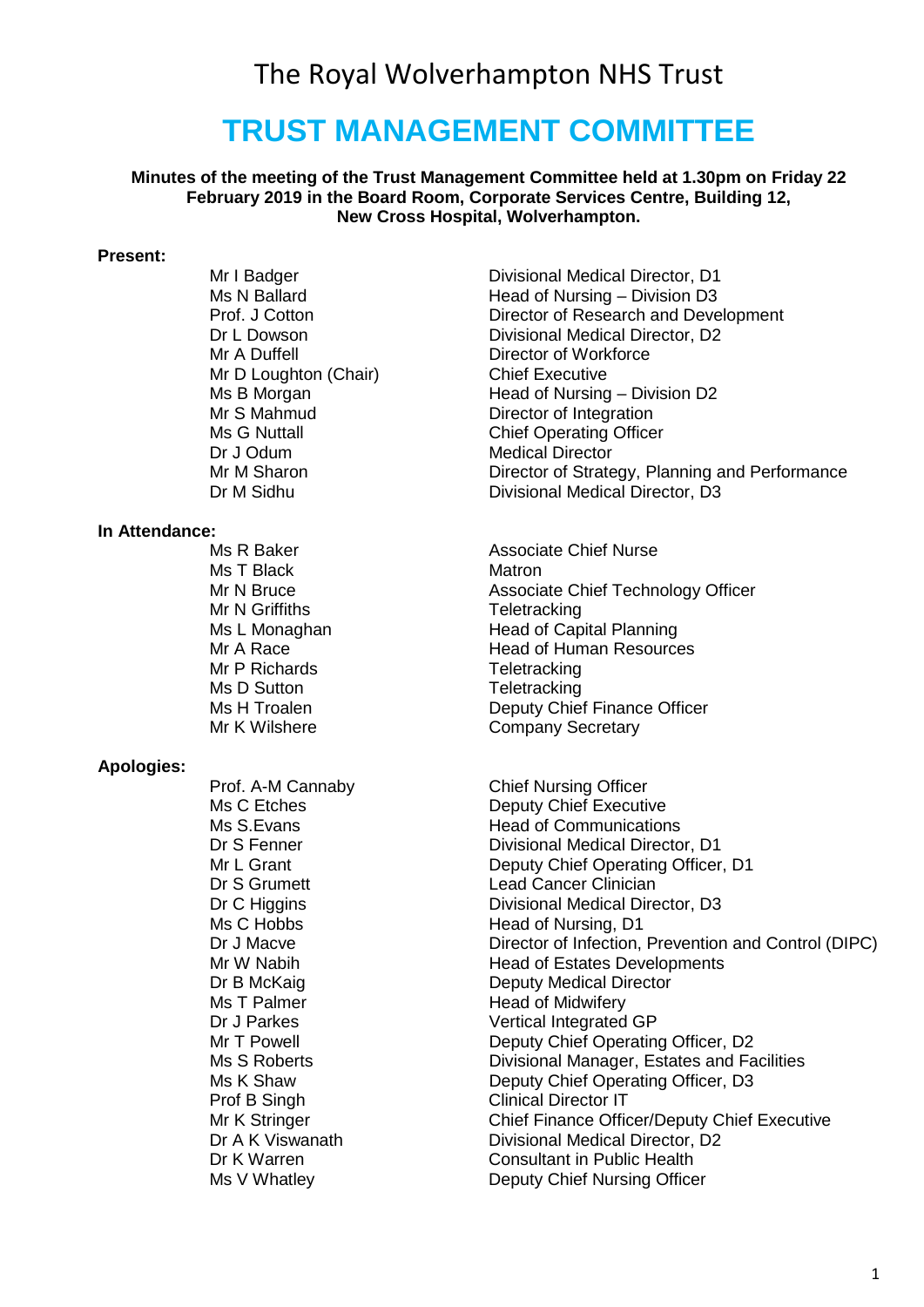# The Royal Wolverhampton NHS Trust

# **TRUST MANAGEMENT COMMITTEE**

#### **Minutes of the meeting of the Trust Management Committee held at 1.30pm on Friday 22 February 2019 in the Board Room, Corporate Services Centre, Building 12, New Cross Hospital, Wolverhampton.**

#### **Present:**

Mr A Duffell **Director of Workforce**<br>
Mr D Loughton (Chair) **Director Chief Executive** Mr D Loughton (Chair)<br>Ms B Morgan Mr S Mahmud **Director of Integration**<br>Ms G Nuttall **Director Contains Chief Operating Office** 

# **In Attendance:**

Ms T Black Mr N Griffiths Teletracking Mr P Richards<br>
Ms D Sutton<br>
Ms D Sutton<br>
Teletracking Ms D Sutton **Teletracking**<br>
Ms H Troalen **The Contract Of The Troalen** 

#### **Apologies:**

Prof. A-M Cannaby Chief Nursing Officer Prof B Singh Clinical Director IT<br>
Mr K Stringer Chief Finance Office

Mr I Badger **Divisional Medical Director**, D1 Ms N Ballard **Manufallard** Head of Nursing – Division D3<br>
Prof. J Cotton **Head of Research and Deve** Director of Research and Development Dr L Dowson **Divisional Medical Director, D2** Head of Nursing – Division D2 Ms G Nuttall **Manufall Chief Operating Officer**<br>
Dr. J Odum Medical Director Medical Director Mr M Sharon **Director of Strategy, Planning and Performance** Dr M Sidhu Divisional Medical Director, D3

Associate Chief Nurse<br>Matron Mr N Bruce Associate Chief Technology Officer Ms L Monaghan Head of Capital Planning Mr A Race **Head of Human Resources** Deputy Chief Finance Officer Mr K Wilshere **Company Secretary** 

Ms C Etches **Deputy Chief Executive**<br>Ms S Evans **Deputy Chief Executive** Ms S.Evans **Head of Communications**<br>
Dr S Fenner **Head of Communications**<br>
Divisional Medical Directo Divisional Medical Director. D1 Mr L Grant **Deputy Chief Operating Officer, D1** Dr S Grumett Lead Cancer Clinician Dr C Higgins **Divisional Medical Director**, D3 Ms C Hobbs Head of Nursing, D1<br>Dr J Macve Director of Infection. Director of Infection, Prevention and Control (DIPC) Mr W Nabih **Head of Estates Developments**<br>
Deputy Medical Director<br>
Deputy Medical Director Dr B McKaig **Deputy Medical Director**<br>
Ms T Palmer **Deputy Medical Director**<br>
Head of Midwiferv Head of Midwifery Dr J Parkes Vertical Integrated GP Mr T Powell **Deputy Chief Operating Officer, D2**<br>Ms S Roberts **Contract Contract Contract Operational Manager**. Estates and Fa Divisional Manager, Estates and Facilities Ms K Shaw **Deputy Chief Operating Officer, D3** Chief Finance Officer/Deputy Chief Executive Dr A K Viswanath Divisional Medical Director, D2 Dr K Warren **Consultant in Public Health**<br>
Ms V Whatley **Charlotter Consultant in Public Health**<br>
Deputy Chief Nursing Office Deputy Chief Nursing Officer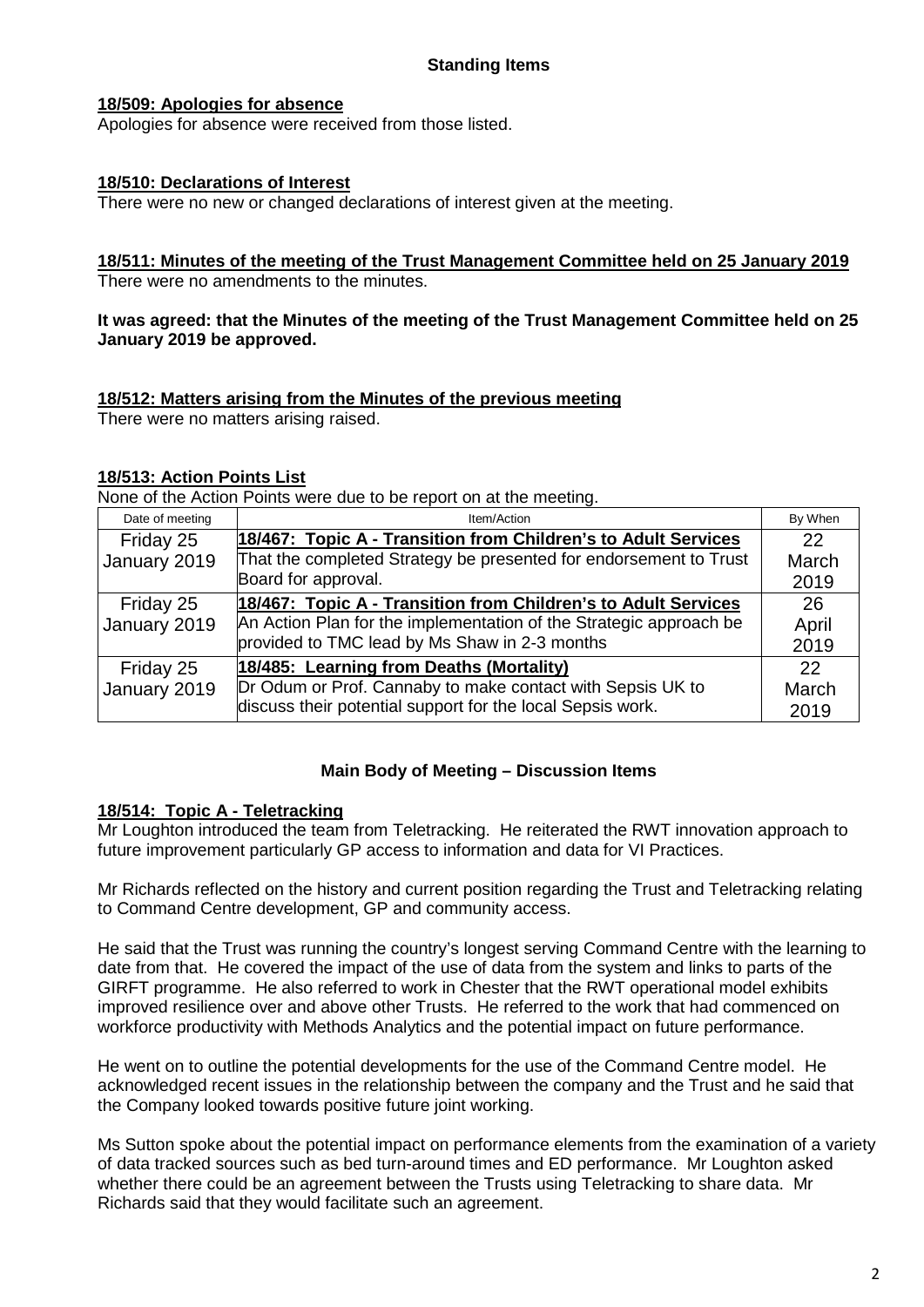# **18/509: Apologies for absence**

Apologies for absence were received from those listed.

# **18/510: Declarations of Interest**

There were no new or changed declarations of interest given at the meeting.

# **18/511: Minutes of the meeting of the Trust Management Committee held on 25 January 2019**

There were no amendments to the minutes.

#### **It was agreed: that the Minutes of the meeting of the Trust Management Committee held on 25 January 2019 be approved.**

# **18/512: Matters arising from the Minutes of the previous meeting**

There were no matters arising raised.

# **18/513: Action Points List**

None of the Action Points were due to be report on at the meeting.

| Date of meeting | Item/Action                                                        | By When |
|-----------------|--------------------------------------------------------------------|---------|
| Friday 25       | 18/467: Topic A - Transition from Children's to Adult Services     | 22      |
| January 2019    | That the completed Strategy be presented for endorsement to Trust  | March   |
|                 | Board for approval.                                                | 2019    |
| Friday 25       | 18/467: Topic A - Transition from Children's to Adult Services     | 26      |
| January 2019    | An Action Plan for the implementation of the Strategic approach be | April   |
|                 | provided to TMC lead by Ms Shaw in 2-3 months                      | 2019    |
| Friday 25       | 18/485: Learning from Deaths (Mortality)                           | 22      |
| January 2019    | Dr Odum or Prof. Cannaby to make contact with Sepsis UK to         | March   |
|                 | discuss their potential support for the local Sepsis work.         | 2019    |

# **Main Body of Meeting – Discussion Items**

#### **18/514: Topic A - Teletracking**

Mr Loughton introduced the team from Teletracking. He reiterated the RWT innovation approach to future improvement particularly GP access to information and data for VI Practices.

Mr Richards reflected on the history and current position regarding the Trust and Teletracking relating to Command Centre development, GP and community access.

He said that the Trust was running the country's longest serving Command Centre with the learning to date from that. He covered the impact of the use of data from the system and links to parts of the GIRFT programme. He also referred to work in Chester that the RWT operational model exhibits improved resilience over and above other Trusts. He referred to the work that had commenced on workforce productivity with Methods Analytics and the potential impact on future performance.

He went on to outline the potential developments for the use of the Command Centre model. He acknowledged recent issues in the relationship between the company and the Trust and he said that the Company looked towards positive future joint working.

Ms Sutton spoke about the potential impact on performance elements from the examination of a variety of data tracked sources such as bed turn-around times and ED performance. Mr Loughton asked whether there could be an agreement between the Trusts using Teletracking to share data. Mr Richards said that they would facilitate such an agreement.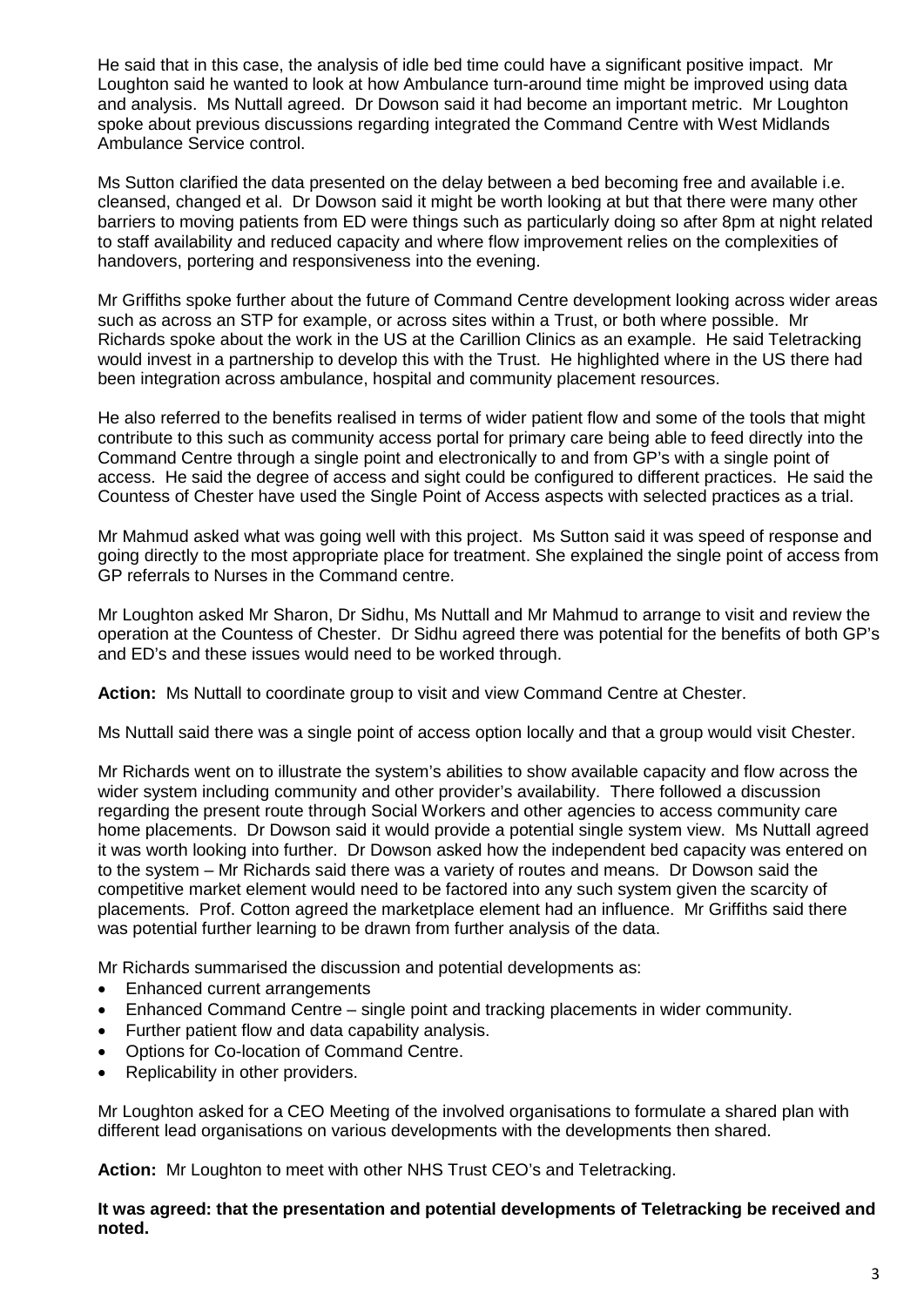He said that in this case, the analysis of idle bed time could have a significant positive impact. Mr Loughton said he wanted to look at how Ambulance turn-around time might be improved using data and analysis. Ms Nuttall agreed. Dr Dowson said it had become an important metric. Mr Loughton spoke about previous discussions regarding integrated the Command Centre with West Midlands Ambulance Service control.

Ms Sutton clarified the data presented on the delay between a bed becoming free and available i.e. cleansed, changed et al. Dr Dowson said it might be worth looking at but that there were many other barriers to moving patients from ED were things such as particularly doing so after 8pm at night related to staff availability and reduced capacity and where flow improvement relies on the complexities of handovers, portering and responsiveness into the evening.

Mr Griffiths spoke further about the future of Command Centre development looking across wider areas such as across an STP for example, or across sites within a Trust, or both where possible. Mr Richards spoke about the work in the US at the Carillion Clinics as an example. He said Teletracking would invest in a partnership to develop this with the Trust. He highlighted where in the US there had been integration across ambulance, hospital and community placement resources.

He also referred to the benefits realised in terms of wider patient flow and some of the tools that might contribute to this such as community access portal for primary care being able to feed directly into the Command Centre through a single point and electronically to and from GP's with a single point of access. He said the degree of access and sight could be configured to different practices. He said the Countess of Chester have used the Single Point of Access aspects with selected practices as a trial.

Mr Mahmud asked what was going well with this project. Ms Sutton said it was speed of response and going directly to the most appropriate place for treatment. She explained the single point of access from GP referrals to Nurses in the Command centre.

Mr Loughton asked Mr Sharon, Dr Sidhu, Ms Nuttall and Mr Mahmud to arrange to visit and review the operation at the Countess of Chester. Dr Sidhu agreed there was potential for the benefits of both GP's and ED's and these issues would need to be worked through.

**Action:** Ms Nuttall to coordinate group to visit and view Command Centre at Chester.

Ms Nuttall said there was a single point of access option locally and that a group would visit Chester.

Mr Richards went on to illustrate the system's abilities to show available capacity and flow across the wider system including community and other provider's availability. There followed a discussion regarding the present route through Social Workers and other agencies to access community care home placements. Dr Dowson said it would provide a potential single system view. Ms Nuttall agreed it was worth looking into further. Dr Dowson asked how the independent bed capacity was entered on to the system – Mr Richards said there was a variety of routes and means. Dr Dowson said the competitive market element would need to be factored into any such system given the scarcity of placements. Prof. Cotton agreed the marketplace element had an influence. Mr Griffiths said there was potential further learning to be drawn from further analysis of the data.

Mr Richards summarised the discussion and potential developments as:

- Enhanced current arrangements
- Enhanced Command Centre single point and tracking placements in wider community.
- Further patient flow and data capability analysis.
- Options for Co-location of Command Centre.
- Replicability in other providers.

Mr Loughton asked for a CEO Meeting of the involved organisations to formulate a shared plan with different lead organisations on various developments with the developments then shared.

**Action:** Mr Loughton to meet with other NHS Trust CEO's and Teletracking.

**It was agreed: that the presentation and potential developments of Teletracking be received and noted.**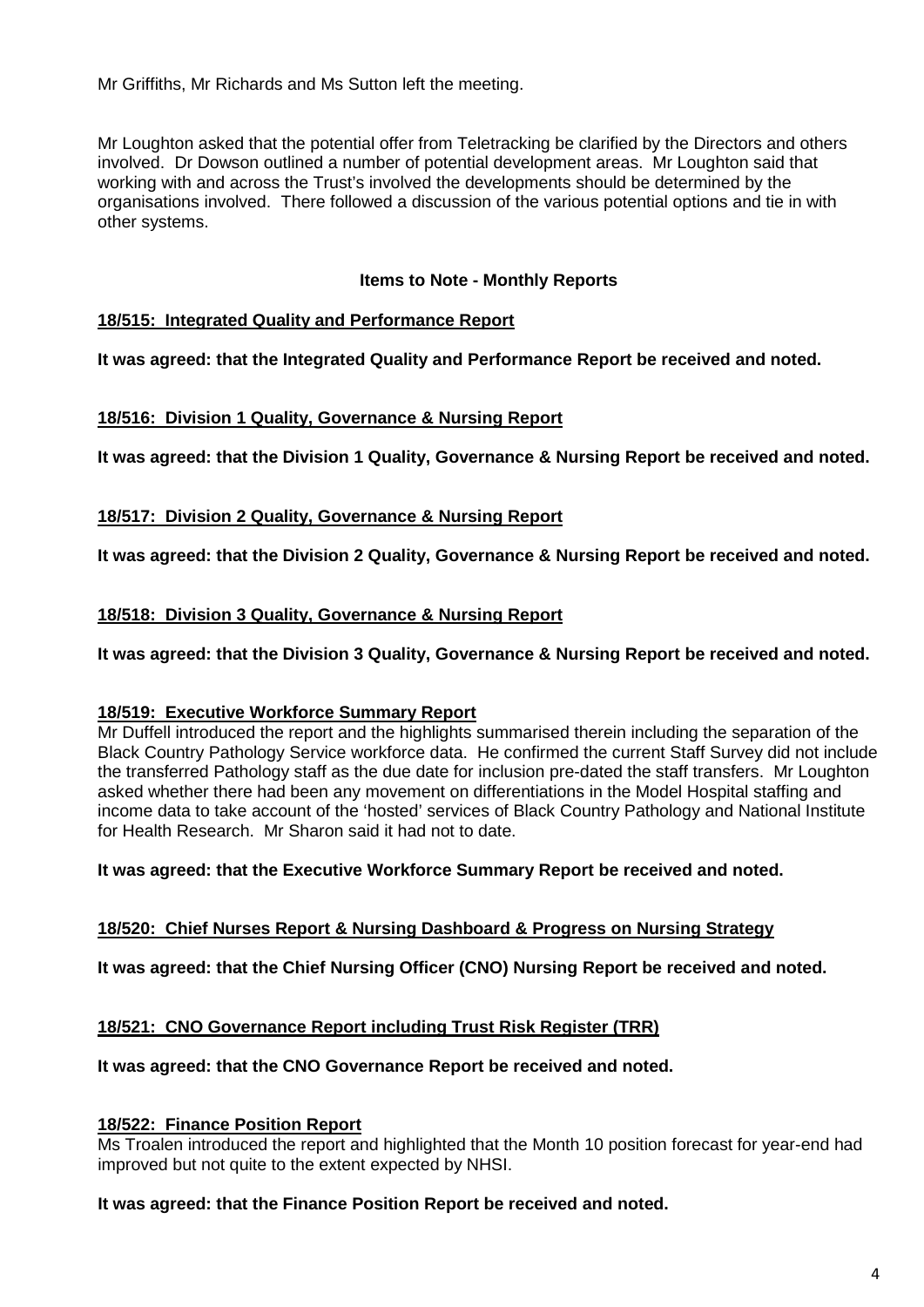Mr Griffiths, Mr Richards and Ms Sutton left the meeting.

Mr Loughton asked that the potential offer from Teletracking be clarified by the Directors and others involved. Dr Dowson outlined a number of potential development areas. Mr Loughton said that working with and across the Trust's involved the developments should be determined by the organisations involved. There followed a discussion of the various potential options and tie in with other systems.

# **Items to Note - Monthly Reports**

# **18/515: Integrated Quality and Performance Report**

**It was agreed: that the Integrated Quality and Performance Report be received and noted.**

# **18/516: Division 1 Quality, Governance & Nursing Report**

**It was agreed: that the Division 1 Quality, Governance & Nursing Report be received and noted.**

# **18/517: Division 2 Quality, Governance & Nursing Report**

**It was agreed: that the Division 2 Quality, Governance & Nursing Report be received and noted.**

# **18/518: Division 3 Quality, Governance & Nursing Report**

**It was agreed: that the Division 3 Quality, Governance & Nursing Report be received and noted.**

# **18/519: Executive Workforce Summary Report**

Mr Duffell introduced the report and the highlights summarised therein including the separation of the Black Country Pathology Service workforce data. He confirmed the current Staff Survey did not include the transferred Pathology staff as the due date for inclusion pre-dated the staff transfers. Mr Loughton asked whether there had been any movement on differentiations in the Model Hospital staffing and income data to take account of the 'hosted' services of Black Country Pathology and National Institute for Health Research. Mr Sharon said it had not to date.

# **It was agreed: that the Executive Workforce Summary Report be received and noted.**

# **18/520: Chief Nurses Report & Nursing Dashboard & Progress on Nursing Strategy**

**It was agreed: that the Chief Nursing Officer (CNO) Nursing Report be received and noted.**

# **18/521: CNO Governance Report including Trust Risk Register (TRR)**

# **It was agreed: that the CNO Governance Report be received and noted.**

# **18/522: Finance Position Report**

Ms Troalen introduced the report and highlighted that the Month 10 position forecast for year-end had improved but not quite to the extent expected by NHSI.

# **It was agreed: that the Finance Position Report be received and noted.**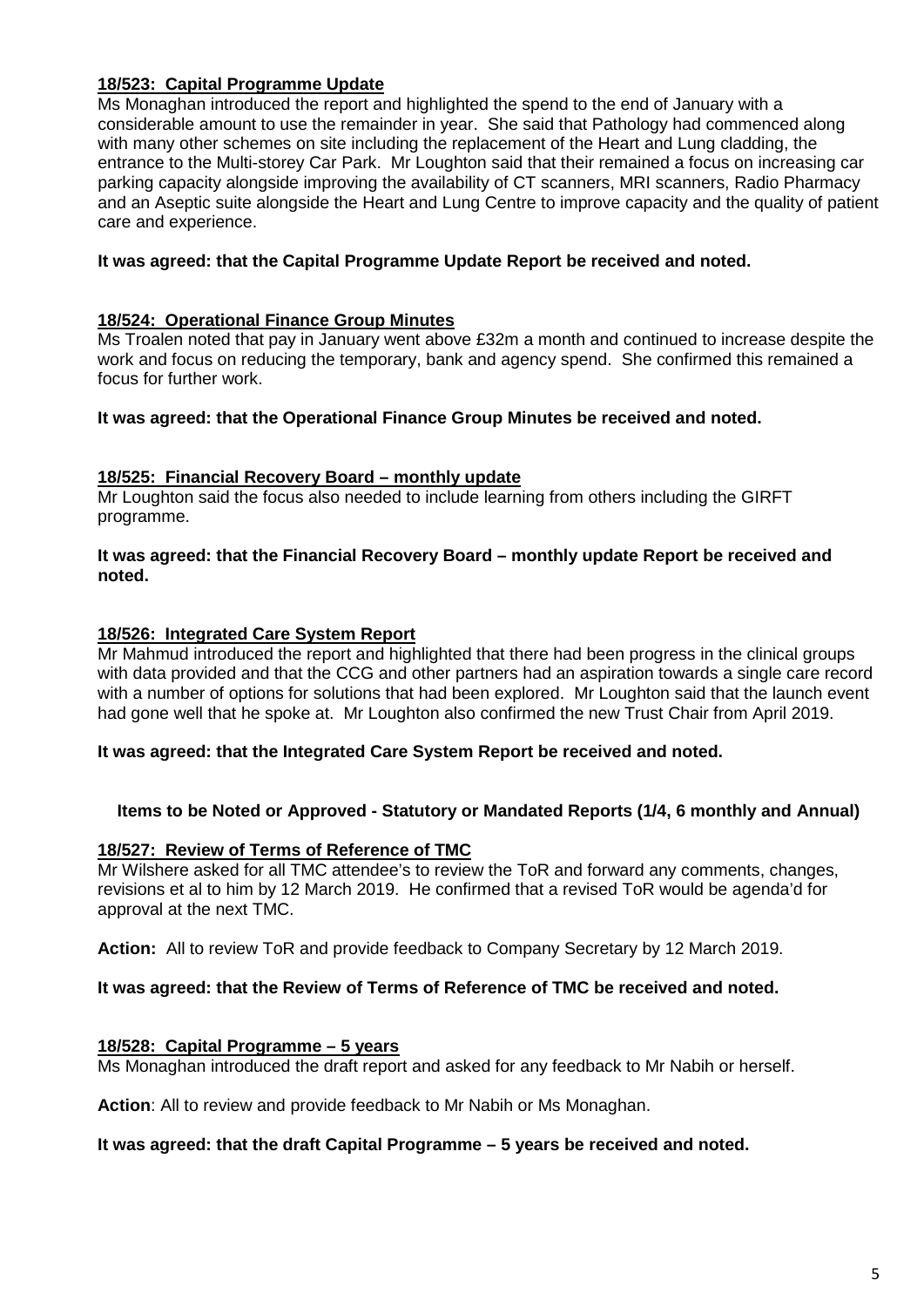# **18/523: Capital Programme Update**

Ms Monaghan introduced the report and highlighted the spend to the end of January with a considerable amount to use the remainder in year. She said that Pathology had commenced along with many other schemes on site including the replacement of the Heart and Lung cladding, the entrance to the Multi-storey Car Park. Mr Loughton said that their remained a focus on increasing car parking capacity alongside improving the availability of CT scanners, MRI scanners, Radio Pharmacy and an Aseptic suite alongside the Heart and Lung Centre to improve capacity and the quality of patient care and experience.

# **It was agreed: that the Capital Programme Update Report be received and noted.**

# **18/524: Operational Finance Group Minutes**

Ms Troalen noted that pay in January went above £32m a month and continued to increase despite the work and focus on reducing the temporary, bank and agency spend. She confirmed this remained a focus for further work.

# **It was agreed: that the Operational Finance Group Minutes be received and noted.**

# **18/525: Financial Recovery Board – monthly update**

Mr Loughton said the focus also needed to include learning from others including the GIRFT programme.

#### **It was agreed: that the Financial Recovery Board – monthly update Report be received and noted.**

# **18/526: Integrated Care System Report**

Mr Mahmud introduced the report and highlighted that there had been progress in the clinical groups with data provided and that the CCG and other partners had an aspiration towards a single care record with a number of options for solutions that had been explored. Mr Loughton said that the launch event had gone well that he spoke at. Mr Loughton also confirmed the new Trust Chair from April 2019.

# **It was agreed: that the Integrated Care System Report be received and noted.**

# **Items to be Noted or Approved - Statutory or Mandated Reports (1/4, 6 monthly and Annual)**

# **18/527: Review of Terms of Reference of TMC**

Mr Wilshere asked for all TMC attendee's to review the ToR and forward any comments, changes, revisions et al to him by 12 March 2019. He confirmed that a revised ToR would be agenda'd for approval at the next TMC.

**Action:** All to review ToR and provide feedback to Company Secretary by 12 March 2019.

# **It was agreed: that the Review of Terms of Reference of TMC be received and noted.**

# **18/528: Capital Programme – 5 years**

Ms Monaghan introduced the draft report and asked for any feedback to Mr Nabih or herself.

**Action**: All to review and provide feedback to Mr Nabih or Ms Monaghan.

#### **It was agreed: that the draft Capital Programme – 5 years be received and noted.**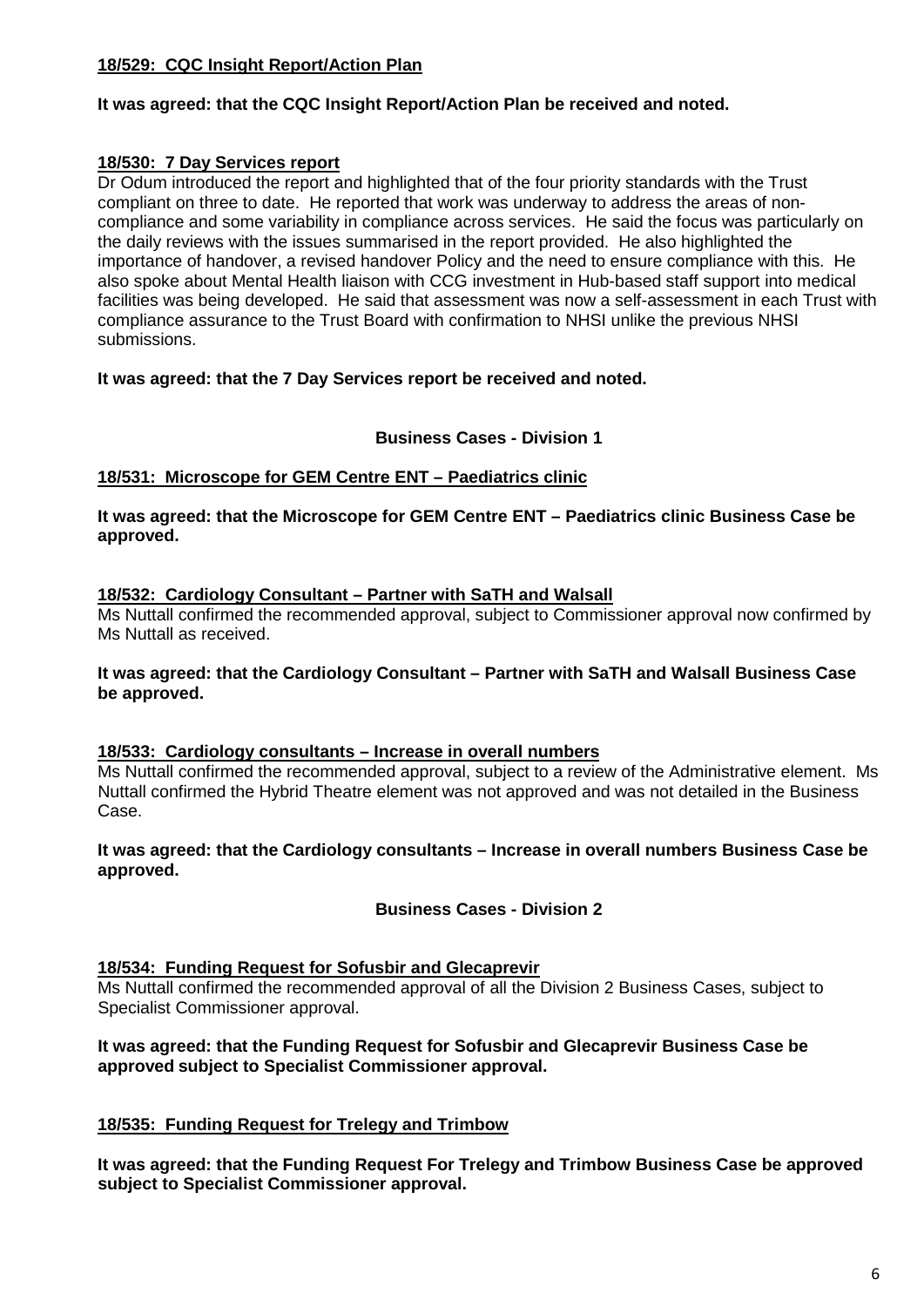# **18/529: CQC Insight Report/Action Plan**

# **It was agreed: that the CQC Insight Report/Action Plan be received and noted.**

# **18/530: 7 Day Services report**

Dr Odum introduced the report and highlighted that of the four priority standards with the Trust compliant on three to date. He reported that work was underway to address the areas of noncompliance and some variability in compliance across services. He said the focus was particularly on the daily reviews with the issues summarised in the report provided. He also highlighted the importance of handover, a revised handover Policy and the need to ensure compliance with this. He also spoke about Mental Health liaison with CCG investment in Hub-based staff support into medical facilities was being developed. He said that assessment was now a self-assessment in each Trust with compliance assurance to the Trust Board with confirmation to NHSI unlike the previous NHSI submissions.

# **It was agreed: that the 7 Day Services report be received and noted.**

#### **Business Cases - Division 1**

# **18/531: Microscope for GEM Centre ENT – Paediatrics clinic**

#### **It was agreed: that the Microscope for GEM Centre ENT – Paediatrics clinic Business Case be approved.**

#### **18/532: Cardiology Consultant – Partner with SaTH and Walsall**

Ms Nuttall confirmed the recommended approval, subject to Commissioner approval now confirmed by Ms Nuttall as received.

#### **It was agreed: that the Cardiology Consultant – Partner with SaTH and Walsall Business Case be approved.**

#### **18/533: Cardiology consultants – Increase in overall numbers**

Ms Nuttall confirmed the recommended approval, subject to a review of the Administrative element. Ms Nuttall confirmed the Hybrid Theatre element was not approved and was not detailed in the Business Case.

#### **It was agreed: that the Cardiology consultants – Increase in overall numbers Business Case be approved.**

# **Business Cases - Division 2**

# **18/534: Funding Request for Sofusbir and Glecaprevir**

Ms Nuttall confirmed the recommended approval of all the Division 2 Business Cases, subject to Specialist Commissioner approval.

#### **It was agreed: that the Funding Request for Sofusbir and Glecaprevir Business Case be approved subject to Specialist Commissioner approval.**

# **18/535: Funding Request for Trelegy and Trimbow**

**It was agreed: that the Funding Request For Trelegy and Trimbow Business Case be approved subject to Specialist Commissioner approval.**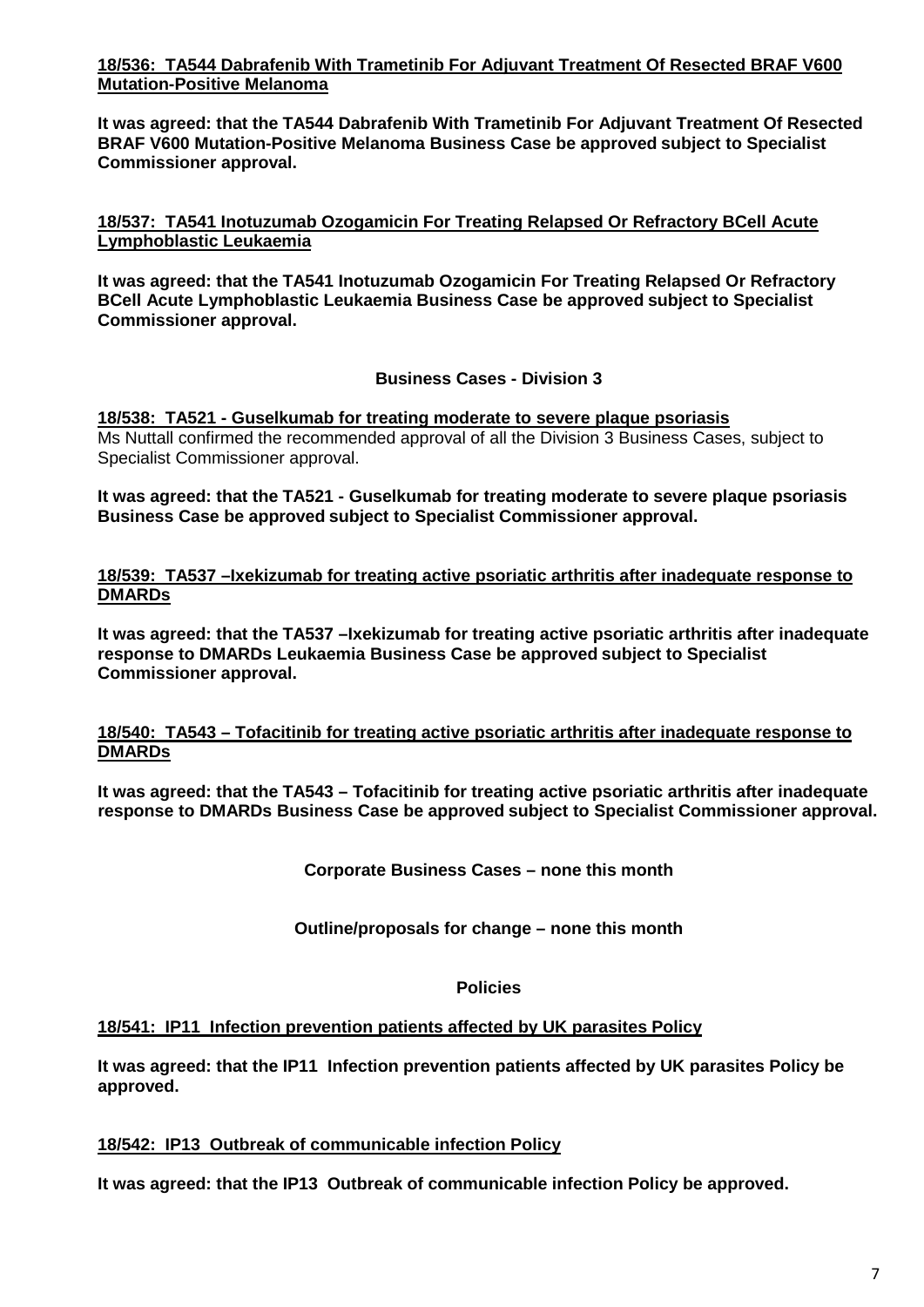# **18/536: TA544 Dabrafenib With Trametinib For Adjuvant Treatment Of Resected BRAF V600 Mutation-Positive Melanoma**

**It was agreed: that the TA544 Dabrafenib With Trametinib For Adjuvant Treatment Of Resected BRAF V600 Mutation-Positive Melanoma Business Case be approved subject to Specialist Commissioner approval.**

**18/537: TA541 Inotuzumab Ozogamicin For Treating Relapsed Or Refractory BCell Acute Lymphoblastic Leukaemia**

**It was agreed: that the TA541 Inotuzumab Ozogamicin For Treating Relapsed Or Refractory BCell Acute Lymphoblastic Leukaemia Business Case be approved subject to Specialist Commissioner approval.**

**Business Cases - Division 3**

**18/538: TA521 - Guselkumab for treating moderate to severe plaque psoriasis** Ms Nuttall confirmed the recommended approval of all the Division 3 Business Cases, subject to Specialist Commissioner approval.

**It was agreed: that the TA521 - Guselkumab for treating moderate to severe plaque psoriasis Business Case be approved subject to Specialist Commissioner approval.**

**18/539: TA537 –Ixekizumab for treating active psoriatic arthritis after inadequate response to DMARDs**

**It was agreed: that the TA537 –Ixekizumab for treating active psoriatic arthritis after inadequate response to DMARDs Leukaemia Business Case be approved subject to Specialist Commissioner approval.**

# **18/540: TA543 – Tofacitinib for treating active psoriatic arthritis after inadequate response to DMARDs**

**It was agreed: that the TA543 – Tofacitinib for treating active psoriatic arthritis after inadequate response to DMARDs Business Case be approved subject to Specialist Commissioner approval.**

**Corporate Business Cases – none this month**

**Outline/proposals for change – none this month**

**Policies**

# **18/541: IP11 Infection prevention patients affected by UK parasites Policy**

**It was agreed: that the IP11 Infection prevention patients affected by UK parasites Policy be approved.**

# **18/542: IP13 Outbreak of communicable infection Policy**

**It was agreed: that the IP13 Outbreak of communicable infection Policy be approved.**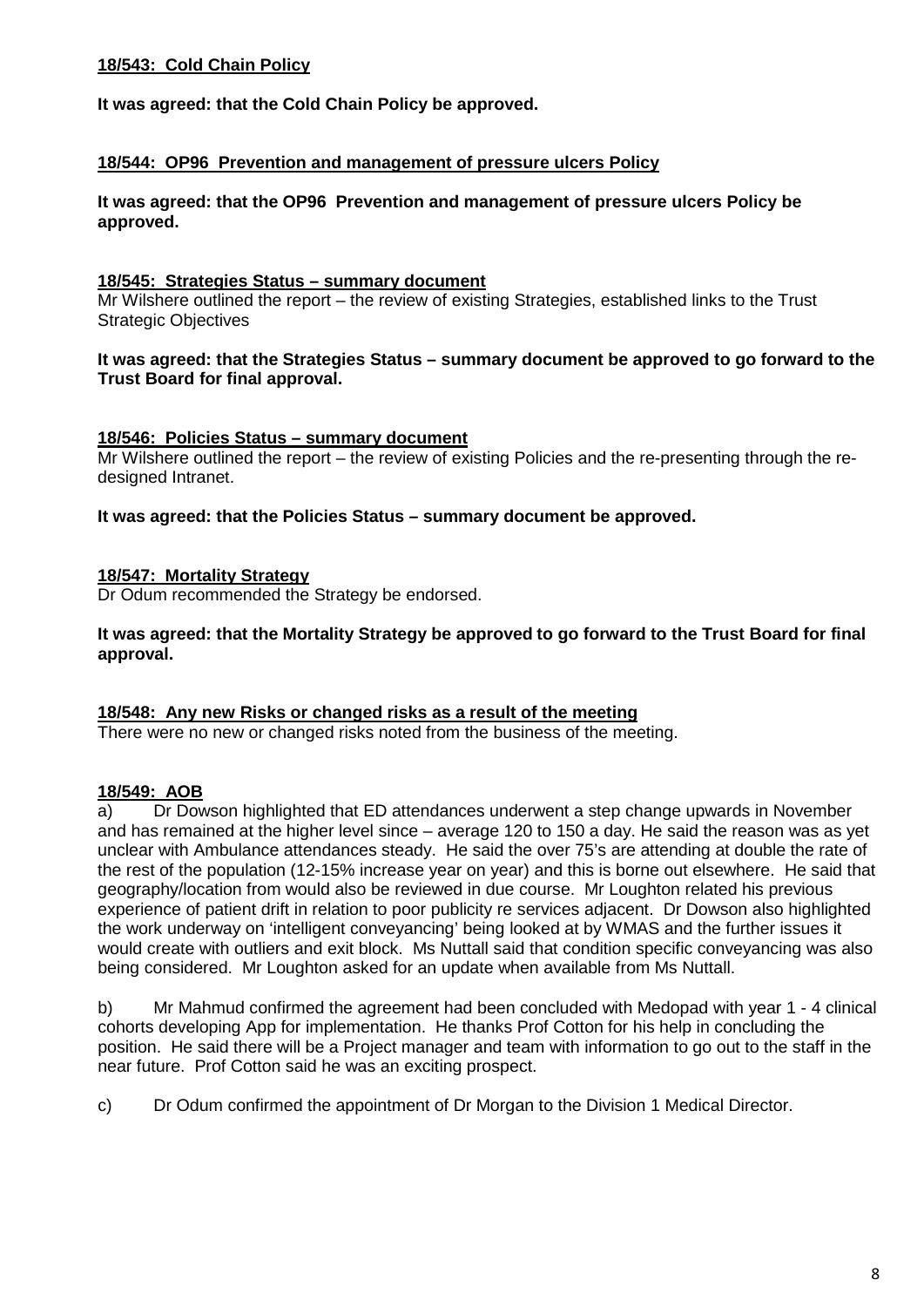# **18/543: Cold Chain Policy**

**It was agreed: that the Cold Chain Policy be approved.**

#### **18/544: OP96 Prevention and management of pressure ulcers Policy**

**It was agreed: that the OP96 Prevention and management of pressure ulcers Policy be approved.**

#### **18/545: Strategies Status – summary document**

Mr Wilshere outlined the report – the review of existing Strategies, established links to the Trust Strategic Objectives

#### **It was agreed: that the Strategies Status – summary document be approved to go forward to the Trust Board for final approval.**

#### **18/546: Policies Status – summary document**

Mr Wilshere outlined the report – the review of existing Policies and the re-presenting through the redesigned Intranet.

**It was agreed: that the Policies Status – summary document be approved.**

#### **18/547: Mortality Strategy**

Dr Odum recommended the Strategy be endorsed.

#### **It was agreed: that the Mortality Strategy be approved to go forward to the Trust Board for final approval.**

#### **18/548: Any new Risks or changed risks as a result of the meeting**

There were no new or changed risks noted from the business of the meeting.

# **18/549: AOB**

a) Dr Dowson highlighted that ED attendances underwent a step change upwards in November and has remained at the higher level since – average 120 to 150 a day. He said the reason was as yet unclear with Ambulance attendances steady. He said the over 75's are attending at double the rate of the rest of the population (12-15% increase year on year) and this is borne out elsewhere. He said that geography/location from would also be reviewed in due course. Mr Loughton related his previous experience of patient drift in relation to poor publicity re services adjacent. Dr Dowson also highlighted the work underway on 'intelligent conveyancing' being looked at by WMAS and the further issues it would create with outliers and exit block. Ms Nuttall said that condition specific conveyancing was also being considered. Mr Loughton asked for an update when available from Ms Nuttall.

b) Mr Mahmud confirmed the agreement had been concluded with Medopad with year 1 - 4 clinical cohorts developing App for implementation. He thanks Prof Cotton for his help in concluding the position. He said there will be a Project manager and team with information to go out to the staff in the near future. Prof Cotton said he was an exciting prospect.

c) Dr Odum confirmed the appointment of Dr Morgan to the Division 1 Medical Director.